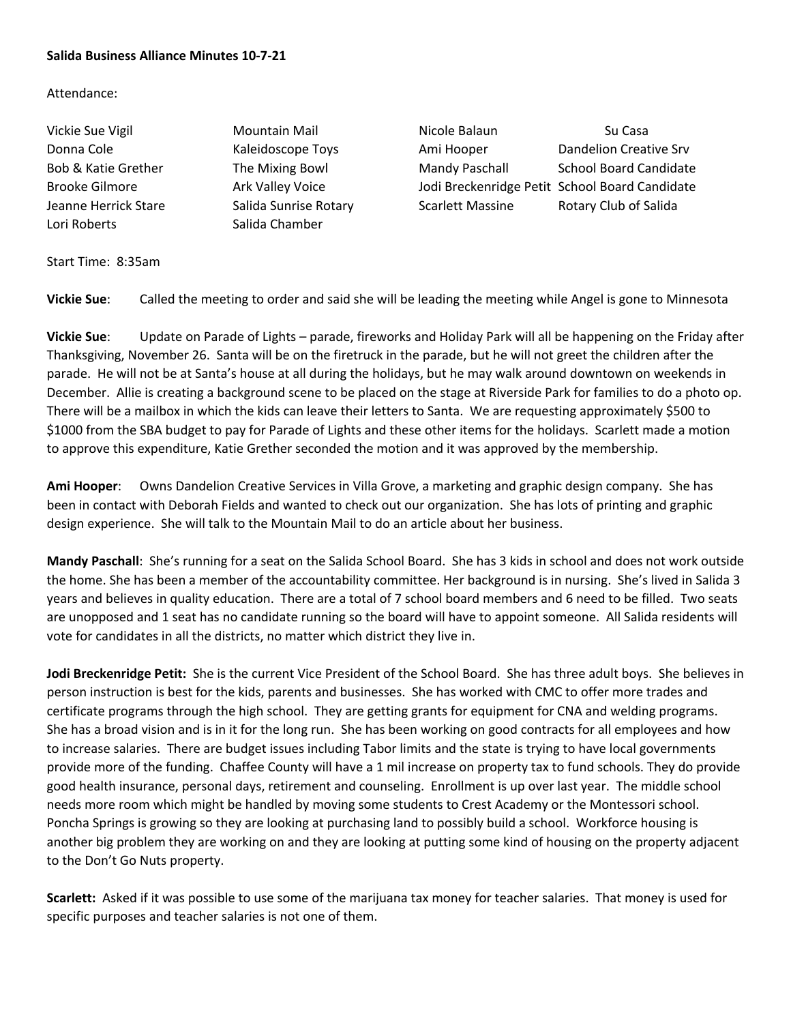## **Salida Business Alliance Minutes 10-7-21**

## Attendance:

Lori Roberts **Salida Chamber** 

Vickie Sue Vigil **Mountain Mail** Nicole Balaun Nicole Balaun Su Casa Donna Cole **Cole Cole Cole Concernation** Kaleidoscope Toys **Ami Hooper** Dandelion Creative Srv Bob & Katie Grether The Mixing Bowl Mandy Paschall School Board Candidate Brooke Gilmore **Ark Valley Voice** Jodi Breckenridge Petit School Board Candidate Jeanne Herrick Stare Salida Sunrise Rotary Scarlett Massine Rotary Club of Salida

Start Time: 8:35am

**Vickie Sue**: Called the meeting to order and said she will be leading the meeting while Angel is gone to Minnesota

**Vickie Sue**: Update on Parade of Lights – parade, fireworks and Holiday Park will all be happening on the Friday after Thanksgiving, November 26. Santa will be on the firetruck in the parade, but he will not greet the children after the parade. He will not be at Santa's house at all during the holidays, but he may walk around downtown on weekends in December. Allie is creating a background scene to be placed on the stage at Riverside Park for families to do a photo op. There will be a mailbox in which the kids can leave their letters to Santa. We are requesting approximately \$500 to \$1000 from the SBA budget to pay for Parade of Lights and these other items for the holidays. Scarlett made a motion to approve this expenditure, Katie Grether seconded the motion and it was approved by the membership.

**Ami Hooper**: Owns Dandelion Creative Services in Villa Grove, a marketing and graphic design company. She has been in contact with Deborah Fields and wanted to check out our organization. She has lots of printing and graphic design experience. She will talk to the Mountain Mail to do an article about her business.

**Mandy Paschall**: She's running for a seat on the Salida School Board. She has 3 kids in school and does not work outside the home. She has been a member of the accountability committee. Her background is in nursing. She's lived in Salida 3 years and believes in quality education. There are a total of 7 school board members and 6 need to be filled. Two seats are unopposed and 1 seat has no candidate running so the board will have to appoint someone. All Salida residents will vote for candidates in all the districts, no matter which district they live in.

**Jodi Breckenridge Petit:** She is the current Vice President of the School Board. She has three adult boys. She believes in person instruction is best for the kids, parents and businesses. She has worked with CMC to offer more trades and certificate programs through the high school. They are getting grants for equipment for CNA and welding programs. She has a broad vision and is in it for the long run. She has been working on good contracts for all employees and how to increase salaries. There are budget issues including Tabor limits and the state is trying to have local governments provide more of the funding. Chaffee County will have a 1 mil increase on property tax to fund schools. They do provide good health insurance, personal days, retirement and counseling. Enrollment is up over last year. The middle school needs more room which might be handled by moving some students to Crest Academy or the Montessori school. Poncha Springs is growing so they are looking at purchasing land to possibly build a school. Workforce housing is another big problem they are working on and they are looking at putting some kind of housing on the property adjacent to the Don't Go Nuts property.

**Scarlett:** Asked if it was possible to use some of the marijuana tax money for teacher salaries. That money is used for specific purposes and teacher salaries is not one of them.